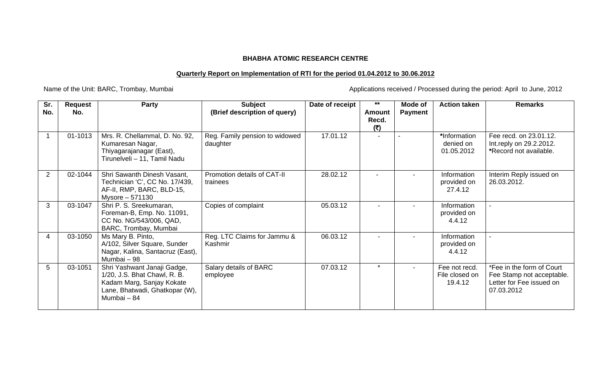## **BHABHA ATOMIC RESEARCH CENTRE**

## **Quarterly Report on Implementation of RTI for the period 01.04.2012 to 30.06.2012**

Name of the Unit: BARC, Trombay, Mumbai <br>
Applications received / Processed during the period: April to June, 2012

| Sr.<br>No. | <b>Request</b><br>No. | Party                                                                                                                                     | <b>Subject</b><br>(Brief description of query) | Date of receipt | $***$<br>Amount<br>Recd.<br>(3) | Mode of<br><b>Payment</b> | <b>Action taken</b>                        | <b>Remarks</b>                                                                                   |
|------------|-----------------------|-------------------------------------------------------------------------------------------------------------------------------------------|------------------------------------------------|-----------------|---------------------------------|---------------------------|--------------------------------------------|--------------------------------------------------------------------------------------------------|
|            | 01-1013               | Mrs. R. Chellammal, D. No. 92,<br>Kumaresan Nagar,<br>Thiyagarajanagar (East),<br>Tirunelveli - 11, Tamil Nadu                            | Reg. Family pension to widowed<br>daughter     | 17.01.12        | $\overline{\phantom{a}}$        |                           | *Information<br>denied on<br>01.05.2012    | Fee recd. on 23.01.12.<br>Int.reply on 29.2.2012.<br>*Record not available.                      |
| 2          | 02-1044               | Shri Sawanth Dinesh Vasant,<br>Technician 'C', CC No. 17/439,<br>AF-II, RMP, BARC, BLD-15,<br>Mysore - 571130                             | Promotion details of CAT-II<br>trainees        | 28.02.12        |                                 | $\overline{\phantom{a}}$  | Information<br>provided on<br>27.4.12      | Interim Reply issued on<br>26.03.2012.                                                           |
| 3          | 03-1047               | Shri P. S. Sreekumaran,<br>Foreman-B, Emp. No. 11091,<br>CC No. NG/543/006, QAD,<br>BARC, Trombay, Mumbai                                 | Copies of complaint                            | 05.03.12        |                                 |                           | Information<br>provided on<br>4.4.12       |                                                                                                  |
| 4          | 03-1050               | Ms Mary B. Pinto,<br>A/102, Silver Square, Sunder<br>Nagar, Kalina, Santacruz (East),<br>Mumbai - 98                                      | Reg. LTC Claims for Jammu &<br>Kashmir         | 06.03.12        |                                 |                           | Information<br>provided on<br>4.4.12       |                                                                                                  |
| 5          | 03-1051               | Shri Yashwant Janaji Gadge,<br>1/20, J.S. Bhat Chawl, R. B.<br>Kadam Marg, Sanjay Kokate<br>Lane, Bhatwadi, Ghatkopar (W),<br>Mumbai - 84 | Salary details of BARC<br>employee             | 07.03.12        | $\star$                         | $\blacksquare$            | Fee not recd.<br>File closed on<br>19.4.12 | *Fee in the form of Court<br>Fee Stamp not acceptable.<br>Letter for Fee issued on<br>07.03.2012 |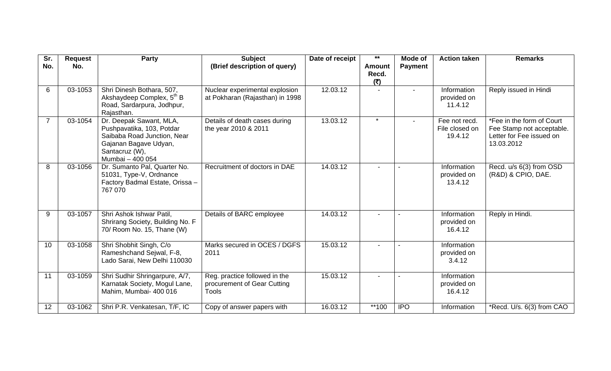| Sr.<br>No. | <b>Request</b><br>No. | <b>Party</b>                                                                                                                                       | <b>Subject</b><br>(Brief description of query)                               | Date of receipt | $***$<br><b>Amount</b> | Mode of<br><b>Payment</b> | <b>Action taken</b>                        | <b>Remarks</b>                                                                                   |
|------------|-----------------------|----------------------------------------------------------------------------------------------------------------------------------------------------|------------------------------------------------------------------------------|-----------------|------------------------|---------------------------|--------------------------------------------|--------------------------------------------------------------------------------------------------|
|            |                       |                                                                                                                                                    |                                                                              |                 | Recd.<br>(5)           |                           |                                            |                                                                                                  |
| 6          | 03-1053               | Shri Dinesh Bothara, 507,<br>Akshaydeep Complex, 5 <sup>th</sup> B<br>Road, Sardarpura, Jodhpur,<br>Rajasthan.                                     | Nuclear experimental explosion<br>at Pokharan (Rajasthan) in 1998            | 12.03.12        | $\blacksquare$         | $\overline{\phantom{a}}$  | Information<br>provided on<br>11.4.12      | Reply issued in Hindi                                                                            |
|            | 03-1054               | Dr. Deepak Sawant, MLA,<br>Pushpavatika, 103, Potdar<br>Saibaba Road Junction, Near<br>Gajanan Bagave Udyan,<br>Santacruz (W),<br>Mumbai - 400 054 | Details of death cases during<br>the year 2010 & 2011                        | 13.03.12        | $\star$                | $\blacksquare$            | Fee not recd.<br>File closed on<br>19.4.12 | *Fee in the form of Court<br>Fee Stamp not acceptable.<br>Letter for Fee issued on<br>13.03.2012 |
| 8          | 03-1056               | Dr. Sumanto Pal, Quarter No.<br>51031, Type-V, Ordnance<br>Factory Badmal Estate, Orissa -<br>767 070                                              | Recruitment of doctors in DAE                                                | 14.03.12        |                        |                           | Information<br>provided on<br>13.4.12      | Recd. u/s 6(3) from OSD<br>(R&D) & CPIO, DAE.                                                    |
| 9          | 03-1057               | Shri Ashok Ishwar Patil,<br>Shrirang Society, Building No. F<br>70/ Room No. 15, Thane (W)                                                         | Details of BARC employee                                                     | 14.03.12        |                        |                           | Information<br>provided on<br>16.4.12      | Reply in Hindi.                                                                                  |
| 10         | 03-1058               | Shri Shobhit Singh, C/o<br>Rameshchand Sejwal, F-8,<br>Lado Sarai, New Delhi 110030                                                                | Marks secured in OCES / DGFS<br>2011                                         | 15.03.12        |                        |                           | Information<br>provided on<br>3.4.12       |                                                                                                  |
| 11         | 03-1059               | Shri Sudhir Shringarpure, A/7,<br>Karnatak Society, Mogul Lane,<br>Mahim, Mumbai- 400 016                                                          | Reg. practice followed in the<br>procurement of Gear Cutting<br><b>Tools</b> | 15.03.12        |                        |                           | Information<br>provided on<br>16.4.12      |                                                                                                  |
| 12         | 03-1062               | Shri P.R. Venkatesan, T/F, IC                                                                                                                      | Copy of answer papers with                                                   | 16.03.12        | **100                  | <b>IPO</b>                | Information                                | *Recd. U/s. 6(3) from CAO                                                                        |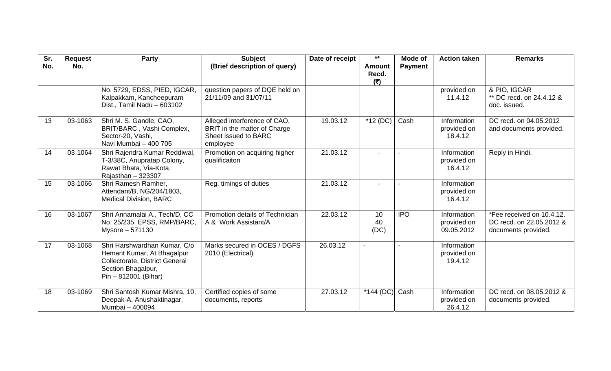| Sr.<br>No. | <b>Request</b><br>No. | <b>Party</b>                                                                                                                                 | <b>Subject</b><br>(Brief description of query)                                                   | Date of receipt | $\star\star$<br><b>Amount</b> | Mode of<br><b>Payment</b> | <b>Action taken</b>                      | <b>Remarks</b>                                                               |
|------------|-----------------------|----------------------------------------------------------------------------------------------------------------------------------------------|--------------------------------------------------------------------------------------------------|-----------------|-------------------------------|---------------------------|------------------------------------------|------------------------------------------------------------------------------|
|            |                       |                                                                                                                                              |                                                                                                  |                 | Recd.<br>(₹)                  |                           |                                          |                                                                              |
|            |                       | No. 5729, EDSS, PIED, IGCAR,<br>Kalpakkam, Kancheepuram<br>Dist., Tamil Nadu - 603102                                                        | question papers of DQE held on<br>21/11/09 and 31/07/11                                          |                 |                               |                           | provided on<br>11.4.12                   | & PIO, IGCAR<br>** DC recd. on 24.4.12 &<br>doc. issued.                     |
| 13         | 03-1063               | Shri M. S. Gandle, CAO,<br>BRIT/BARC, Vashi Complex,<br>Sector-20, Vashi,<br>Navi Mumbai - 400 705                                           | Alleged interference of CAO,<br>BRIT in the matter of Charge<br>Sheet issued to BARC<br>employee | 19.03.12        | $*12(DC)$                     | Cash                      | Information<br>provided on<br>18.4.12    | DC recd. on 04.05.2012<br>and documents provided.                            |
| 14         | 03-1064               | Shri Rajendra Kumar Reddiwal,<br>T-3/38C, Anupratap Colony,<br>Rawat Bhata, Via-Kota,<br>Rajasthan - 323307                                  | Promotion on acquiring higher<br>qualificaiton                                                   | 21.03.12        |                               |                           | Information<br>provided on<br>16.4.12    | Reply in Hindi.                                                              |
| 15         | 03-1066               | Shri Ramesh Ramher,<br>Attendant/B, NG/204/1803,<br><b>Medical Division, BARC</b>                                                            | Reg. timings of duties                                                                           | 21.03.12        | $\overline{a}$                |                           | Information<br>provided on<br>16.4.12    |                                                                              |
| 16         | 03-1067               | Shri Annamalai A., Tech/D, CC<br>No. 25/235, EPSS, RMP/BARC,<br>Mysore - 571130                                                              | Promotion details of Technician<br>A & Work Assistant/A                                          | 22.03.12        | 10<br>40<br>(DC)              | <b>IPO</b>                | Information<br>provided on<br>09.05.2012 | *Fee received on 10.4.12.<br>DC recd. on 22.05.2012 &<br>documents provided. |
| 17         | 03-1068               | Shri Harshwardhan Kumar, C/o<br>Hemant Kumar, At Bhagalpur<br>Collectorate, District General<br>Section Bhagalpur,<br>$Pin - 812001$ (Bihar) | Marks secured in OCES / DGFS<br>2010 (Electrical)                                                | 26.03.12        |                               |                           | Information<br>provided on<br>19.4.12    |                                                                              |
| 18         | 03-1069               | Shri Santosh Kumar Mishra, 10,<br>Deepak-A, Anushaktinagar,<br>Mumbai - 400094                                                               | Certified copies of some<br>documents, reports                                                   | 27.03.12        | $*144(DC)$                    | Cash                      | Information<br>provided on<br>26.4.12    | DC recd. on 08.05.2012 &<br>documents provided.                              |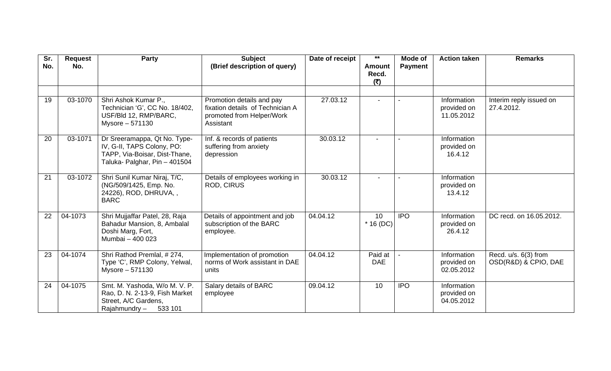| Sr.<br>No. | <b>Request</b><br>No. | <b>Party</b>                                                                                                                 | <b>Subject</b><br>(Brief description of query)                                                          | Date of receipt | $***$<br><b>Amount</b><br>Recd. | Mode of<br><b>Payment</b> | <b>Action taken</b>                      | <b>Remarks</b>                                 |
|------------|-----------------------|------------------------------------------------------------------------------------------------------------------------------|---------------------------------------------------------------------------------------------------------|-----------------|---------------------------------|---------------------------|------------------------------------------|------------------------------------------------|
|            |                       |                                                                                                                              |                                                                                                         |                 | (₹)                             |                           |                                          |                                                |
|            |                       |                                                                                                                              |                                                                                                         |                 |                                 |                           |                                          |                                                |
| 19         | 03-1070               | Shri Ashok Kumar P.,<br>Technician 'G', CC No. 18/402,<br>USF/Bld 12, RMP/BARC,<br>Mysore - 571130                           | Promotion details and pay<br>fixation details of Technician A<br>promoted from Helper/Work<br>Assistant | 27.03.12        |                                 |                           | Information<br>provided on<br>11.05.2012 | Interim reply issued on<br>27.4.2012.          |
| 20         | 03-1071               | Dr Sreeramappa, Qt No. Type-<br>IV, G-II, TAPS Colony, PO:<br>TAPP, Via-Boisar, Dist-Thane,<br>Taluka- Palghar, Pin - 401504 | Inf. & records of patients<br>suffering from anxiety<br>depression                                      | 30.03.12        |                                 |                           | Information<br>provided on<br>16.4.12    |                                                |
| 21         | 03-1072               | Shri Sunil Kumar Niraj, T/C,<br>(NG/509/1425, Emp. No.<br>24226), ROD, DHRUVA,,<br><b>BARC</b>                               | Details of employees working in<br><b>ROD, CIRUS</b>                                                    | 30.03.12        |                                 |                           | Information<br>provided on<br>13.4.12    |                                                |
| 22         | 04-1073               | Shri Mujjaffar Patel, 28, Raja<br>Bahadur Mansion, 8, Ambalal<br>Doshi Marg, Fort,<br>Mumbai - 400 023                       | Details of appointment and job<br>subscription of the BARC<br>employee.                                 | 04.04.12        | 10<br>$*$ 16 (DC)               | <b>IPO</b>                | Information<br>provided on<br>26.4.12    | DC recd. on 16.05.2012.                        |
| 23         | 04-1074               | Shri Rathod Premlal, #274,<br>Type 'C', RMP Colony, Yelwal,<br>Mysore - 571130                                               | Implementation of promotion<br>norms of Work assistant in DAE<br>units                                  | 04.04.12        | Paid at<br><b>DAE</b>           |                           | Information<br>provided on<br>02.05.2012 | Recd. $u/s. 6(3)$ from<br>OSD(R&D) & CPIO, DAE |
| 24         | 04-1075               | Smt. M. Yashoda, W/o M. V. P.<br>Rao, D. N. 2-13-9, Fish Market<br>Street, A/C Gardens,<br>Rajahmundry-<br>533 101           | Salary details of BARC<br>employee                                                                      | 09.04.12        | 10                              | <b>IPO</b>                | Information<br>provided on<br>04.05.2012 |                                                |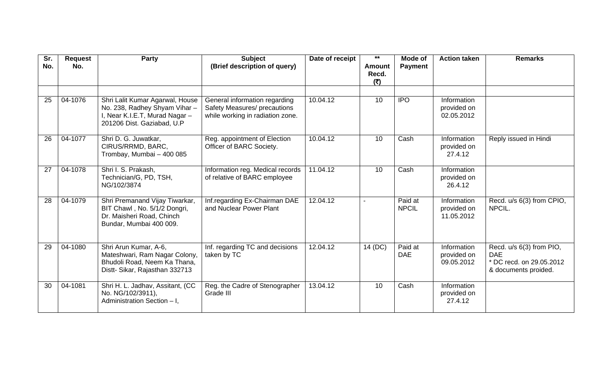| Sr.<br>No. | <b>Request</b><br>No. | <b>Party</b>                                                                                                                    | <b>Subject</b><br>(Brief description of query)                                                    | Date of receipt | $***$<br><b>Amount</b> | Mode of<br><b>Payment</b> | <b>Action taken</b>                      | <b>Remarks</b>                                                                             |
|------------|-----------------------|---------------------------------------------------------------------------------------------------------------------------------|---------------------------------------------------------------------------------------------------|-----------------|------------------------|---------------------------|------------------------------------------|--------------------------------------------------------------------------------------------|
|            |                       |                                                                                                                                 |                                                                                                   |                 | Recd.<br>(5)           |                           |                                          |                                                                                            |
|            |                       |                                                                                                                                 |                                                                                                   |                 |                        |                           |                                          |                                                                                            |
| 25         | 04-1076               | Shri Lalit Kumar Agarwal, House<br>No. 238, Radhey Shyam Vihar-<br>I, Near K.I.E.T, Murad Nagar -<br>201206 Dist. Gaziabad, U.P | General information regarding<br>Safety Measures/ precautions<br>while working in radiation zone. | 10.04.12        | 10                     | <b>IPO</b>                | Information<br>provided on<br>02.05.2012 |                                                                                            |
| 26         | 04-1077               | Shri D. G. Juwatkar,<br>CIRUS/RRMD, BARC,<br>Trombay, Mumbai - 400 085                                                          | Reg. appointment of Election<br>Officer of BARC Society.                                          | 10.04.12        | 10                     | Cash                      | Information<br>provided on<br>27.4.12    | Reply issued in Hindi                                                                      |
| 27         | $04 - 1078$           | Shri I. S. Prakash,<br>Technician/G, PD, TSH,<br>NG/102/3874                                                                    | Information reg. Medical records<br>of relative of BARC employee                                  | 11.04.12        | 10                     | Cash                      | Information<br>provided on<br>26.4.12    |                                                                                            |
| 28         | 04-1079               | Shri Premanand Vijay Tiwarkar,<br>BIT Chawl, No. 5/1/2 Dongri,<br>Dr. Maisheri Road, Chinch<br>Bundar, Mumbai 400 009.          | Inf.regarding Ex-Chairman DAE<br>and Nuclear Power Plant                                          | 12.04.12        | $\sim$                 | Paid at<br><b>NPCIL</b>   | Information<br>provided on<br>11.05.2012 | Recd. u/s 6(3) from CPIO,<br>NPCIL.                                                        |
| 29         | 04-1080               | Shri Arun Kumar, A-6,<br>Mateshwari, Ram Nagar Colony,<br>Bhudoli Road, Neem Ka Thana,<br>Distt- Sikar, Rajasthan 332713        | Inf. regarding TC and decisions<br>taken by TC                                                    | 12.04.12        | 14 (DC)                | Paid at<br><b>DAE</b>     | Information<br>provided on<br>09.05.2012 | Recd. u/s 6(3) from PIO,<br><b>DAE</b><br>* DC recd. on 29.05.2012<br>& documents proided. |
| 30         | 04-1081               | Shri H. L. Jadhav, Assitant, (CC<br>No. NG/102/3911),<br>Administration Section - I,                                            | Reg. the Cadre of Stenographer<br>Grade III                                                       | 13.04.12        | 10                     | Cash                      | Information<br>provided on<br>27.4.12    |                                                                                            |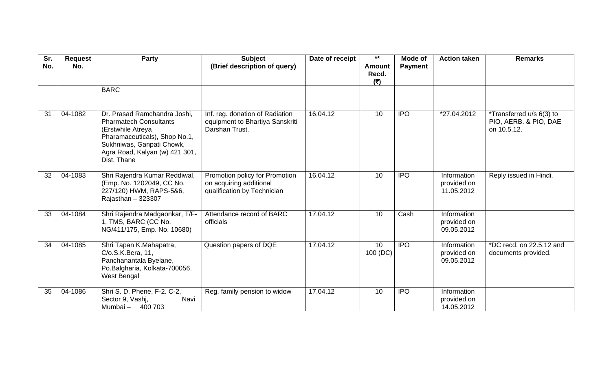| Sr.<br>No. | <b>Request</b><br>No. | <b>Party</b>                                                                                                                                                                                      | <b>Subject</b><br>(Brief description of query)                                           | Date of receipt | $***$<br><b>Amount</b><br>Recd.<br>(₹) | Mode of<br><b>Payment</b> | <b>Action taken</b>                      | <b>Remarks</b>                                                   |
|------------|-----------------------|---------------------------------------------------------------------------------------------------------------------------------------------------------------------------------------------------|------------------------------------------------------------------------------------------|-----------------|----------------------------------------|---------------------------|------------------------------------------|------------------------------------------------------------------|
|            |                       | <b>BARC</b>                                                                                                                                                                                       |                                                                                          |                 |                                        |                           |                                          |                                                                  |
| 31         | 04-1082               | Dr. Prasad Ramchandra Joshi,<br><b>Pharmatech Consultants</b><br>(Erstwhile Atreya<br>Pharamaceuticals), Shop No.1,<br>Sukhniwas, Ganpati Chowk,<br>Agra Road, Kalyan (w) 421 301,<br>Dist. Thane | Inf. reg. donation of Radiation<br>equipment to Bhartiya Sanskriti<br>Darshan Trust.     | 16.04.12        | 10                                     | <b>IPO</b>                | *27.04.2012                              | *Transferred u/s 6(3) to<br>PIO, AERB. & PIO, DAE<br>on 10.5.12. |
| 32         | 04-1083               | Shri Rajendra Kumar Reddiwal,<br>(Emp. No. 1202049, CC No.<br>227/120) HWM, RAPS-5&6,<br>Rajasthan $-323307$                                                                                      | Promotion policy for Promotion<br>on acquiring additional<br>qualification by Technician | 16.04.12        | 10                                     | <b>IPO</b>                | Information<br>provided on<br>11.05.2012 | Reply issued in Hindi.                                           |
| 33         | 04-1084               | Shri Rajendra Madgaonkar, T/F-<br>1, TMS, BARC (CC No.<br>NG/411/175, Emp. No. 10680)                                                                                                             | Attendance record of BARC<br>officials                                                   | 17.04.12        | 10                                     | Cash                      | Information<br>provided on<br>09.05.2012 |                                                                  |
| 34         | 04-1085               | Shri Tapan K.Mahapatra,<br>C/o.S.K.Bera, 11,<br>Panchanantala Byelane,<br>Po.Balgharia, Kolkata-700056.<br>West Bengal                                                                            | Question papers of DQE                                                                   | 17.04.12        | 10<br>100 (DC)                         | <b>IPO</b>                | Information<br>provided on<br>09.05.2012 | *DC recd. on 22.5.12 and<br>documents provided.                  |
| 35         | 04-1086               | Shri S. D. Phene, F-2. C-2,<br>Sector 9, Vashj,<br>Navi<br>Mumbai - 400 703                                                                                                                       | Reg. family pension to widow                                                             | 17.04.12        | 10                                     | <b>IPO</b>                | Information<br>provided on<br>14.05.2012 |                                                                  |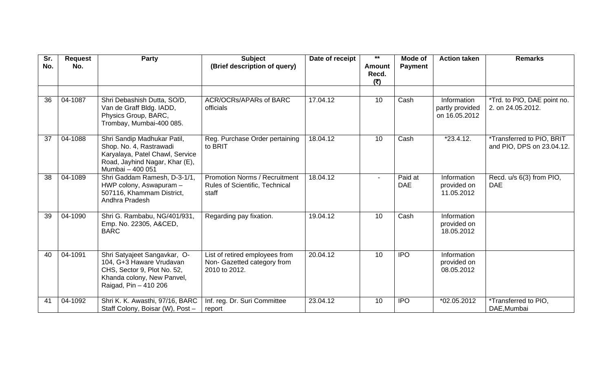| Sr.<br>No. | <b>Request</b><br>No. | <b>Party</b>                                                                                                                                    | <b>Subject</b><br>(Brief description of query)                                         | Date of receipt | $***$<br><b>Amount</b><br>Recd.<br>(₹) | Mode of<br><b>Payment</b> | <b>Action taken</b>                             | <b>Remarks</b>                                         |
|------------|-----------------------|-------------------------------------------------------------------------------------------------------------------------------------------------|----------------------------------------------------------------------------------------|-----------------|----------------------------------------|---------------------------|-------------------------------------------------|--------------------------------------------------------|
|            |                       |                                                                                                                                                 |                                                                                        |                 |                                        |                           |                                                 |                                                        |
| 36         | 04-1087               | Shri Debashish Dutta, SO/D,<br>Van de Graff Bldg. IADD,<br>Physics Group, BARC,<br>Trombay, Mumbai-400 085.                                     | ACR/OCRs/APARs of BARC<br>officials                                                    | 17.04.12        | 10                                     | Cash                      | Information<br>partly provided<br>on 16.05.2012 | *Trd. to PIO, DAE point no.<br>2. on 24.05.2012.       |
| 37         | 04-1088               | Shri Sandip Madhukar Patil,<br>Shop. No. 4, Rastrawadi<br>Karyalaya, Patel Chawl, Service<br>Road, Jayhind Nagar, Khar (E),<br>Mumbai - 400 051 | Reg. Purchase Order pertaining<br>to BRIT                                              | 18.04.12        | 10                                     | Cash                      | $\overline{2}3.4.12.$                           | *Transferred to PIO, BRIT<br>and PIO, DPS on 23.04.12. |
| 38         | 04-1089               | Shri Gaddam Ramesh, D-3-1/1,<br>HWP colony, Aswapuram -<br>507116, Khammam District,<br>Andhra Pradesh                                          | <b>Promotion Norms / Recruitment</b><br><b>Rules of Scientific, Technical</b><br>staff | 18.04.12        |                                        | Paid at<br><b>DAE</b>     | Information<br>provided on<br>11.05.2012        | Recd. u/s 6(3) from PIO,<br><b>DAE</b>                 |
| 39         | 04-1090               | Shri G. Rambabu, NG/401/931,<br>Emp. No. 22305, A&CED,<br><b>BARC</b>                                                                           | Regarding pay fixation.                                                                | 19.04.12        | 10                                     | Cash                      | Information<br>provided on<br>18.05.2012        |                                                        |
| 40         | 04-1091               | Shri Satyajeet Sangavkar, O-<br>104, G+3 Haware Vrudavan<br>CHS, Sector 9, Plot No. 52,<br>Khanda colony, New Panvel,<br>Raigad, Pin - 410 206  | List of retired employees from<br>Non-Gazetted category from<br>2010 to 2012.          | 20.04.12        | 10                                     | <b>IPO</b>                | Information<br>provided on<br>08.05.2012        |                                                        |
| 41         | 04-1092               | Shri K. K. Awasthi, 97/16, BARC<br>Staff Colony, Boisar (W), Post -                                                                             | Inf. reg. Dr. Suri Committee<br>report                                                 | 23.04.12        | 10                                     | <b>IPO</b>                | *02.05.2012                                     | *Transferred to PIO,<br>DAE, Mumbai                    |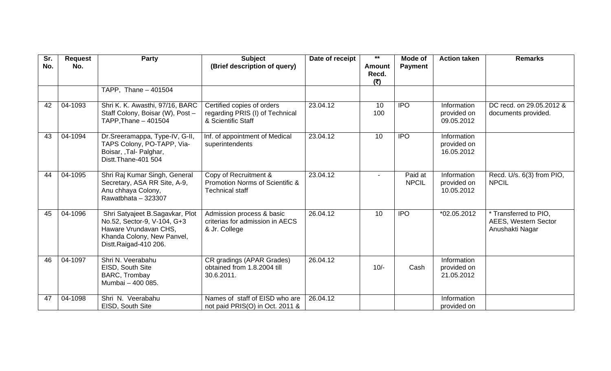| Sr.<br>No. | <b>Request</b><br>No. | Party                                                                                                                                          | <b>Subject</b><br>(Brief description of query)                                      | Date of receipt | $\star\star$<br><b>Amount</b> | Mode of<br><b>Payment</b> | <b>Action taken</b>                      | <b>Remarks</b>                                                   |
|------------|-----------------------|------------------------------------------------------------------------------------------------------------------------------------------------|-------------------------------------------------------------------------------------|-----------------|-------------------------------|---------------------------|------------------------------------------|------------------------------------------------------------------|
|            |                       |                                                                                                                                                |                                                                                     |                 | Recd.<br>(₹)                  |                           |                                          |                                                                  |
|            |                       | TAPP, Thane - 401504                                                                                                                           |                                                                                     |                 |                               |                           |                                          |                                                                  |
| 42         | 04-1093               | Shri K. K. Awasthi, 97/16, BARC<br>Staff Colony, Boisar (W), Post -<br>TAPP, Thane - 401504                                                    | Certified copies of orders<br>regarding PRIS (I) of Technical<br>& Scientific Staff | 23.04.12        | 10 <sup>°</sup><br>100        | <b>IPO</b>                | Information<br>provided on<br>09.05.2012 | DC recd. on 29.05.2012 &<br>documents provided.                  |
| 43         | 04-1094               | Dr.Sreeramappa, Type-IV, G-II,<br>TAPS Colony, PO-TAPP, Via-<br>Boisar, , Tal- Palghar,<br>Distt.Thane-401 504                                 | Inf. of appointment of Medical<br>superintendents                                   | 23.04.12        | 10                            | <b>IPO</b>                | Information<br>provided on<br>16.05.2012 |                                                                  |
| 44         | 04-1095               | Shri Raj Kumar Singh, General<br>Secretary, ASA RR Site, A-9,<br>Anu chhaya Colony,<br>Rawatbhata - 323307                                     | Copy of Recruitment &<br>Promotion Norms of Scientific &<br><b>Technical staff</b>  | 23.04.12        | $\blacksquare$                | Paid at<br><b>NPCIL</b>   | Information<br>provided on<br>10.05.2012 | Recd. U/s. 6(3) from PIO,<br><b>NPCIL</b>                        |
| 45         | 04-1096               | Shri Satyajeet B.Sagavkar, Plot<br>No.52, Sector-9, V-104, G+3<br>Haware Vrundavan CHS,<br>Khanda Colony, New Panvel,<br>Distt.Raigad-410 206. | Admission process & basic<br>criterias for admission in AECS<br>& Jr. College       | 26.04.12        | 10                            | <b>IPO</b>                | *02.05.2012                              | * Transferred to PIO,<br>AEES, Western Sector<br>Anushakti Nagar |
| 46         | 04-1097               | Shri N. Veerabahu<br>EISD, South Site<br>BARC, Trombay<br>Mumbai - 400 085.                                                                    | CR gradings (APAR Grades)<br>obtained from 1.8.2004 till<br>30.6.2011.              | 26.04.12        | $10/-$                        | Cash                      | Information<br>provided on<br>21.05.2012 |                                                                  |
| 47         | 04-1098               | Shri N. Veerabahu<br>EISD, South Site                                                                                                          | Names of staff of EISD who are<br>not paid PRIS(O) in Oct. 2011 &                   | 26.04.12        |                               |                           | Information<br>provided on               |                                                                  |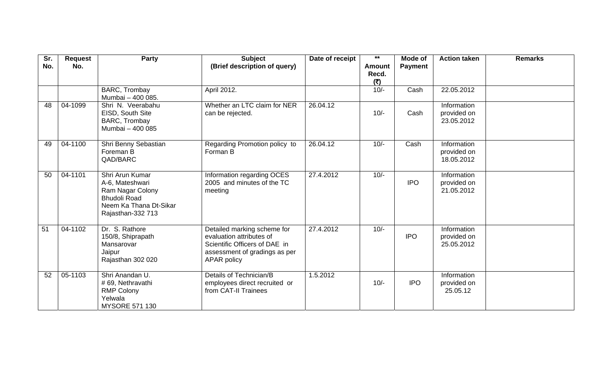| Sr.<br>No. | <b>Request</b><br>No. | Party                                                                                                                        | <b>Subject</b><br>(Brief description of query)                                                                                                  | Date of receipt | $\star\star$<br><b>Amount</b> | Mode of<br><b>Payment</b> | <b>Action taken</b>                      | <b>Remarks</b> |
|------------|-----------------------|------------------------------------------------------------------------------------------------------------------------------|-------------------------------------------------------------------------------------------------------------------------------------------------|-----------------|-------------------------------|---------------------------|------------------------------------------|----------------|
|            |                       |                                                                                                                              |                                                                                                                                                 |                 | Recd.<br>(5)                  |                           |                                          |                |
|            |                       | BARC, Trombay<br>Mumbai - 400 085.                                                                                           | April 2012.                                                                                                                                     |                 | $10/-$                        | Cash                      | 22.05.2012                               |                |
| 48         | 04-1099               | Shri N. Veerabahu<br>EISD, South Site<br>BARC, Trombay<br>Mumbai - 400 085                                                   | Whether an LTC claim for NER<br>can be rejected.                                                                                                | 26.04.12        | $10/-$                        | Cash                      | Information<br>provided on<br>23.05.2012 |                |
| 49         | 04-1100               | Shri Benny Sebastian<br>Foreman B<br>QAD/BARC                                                                                | Regarding Promotion policy to<br>Forman B                                                                                                       | 26.04.12        | $10/-$                        | Cash                      | Information<br>provided on<br>18.05.2012 |                |
| 50         | 04-1101               | Shri Arun Kumar<br>A-6, Mateshwari<br>Ram Nagar Colony<br><b>Bhudoli Road</b><br>Neem Ka Thana Dt-Sikar<br>Rajasthan-332 713 | Information regarding OCES<br>2005 and minutes of the TC<br>meeting                                                                             | 27.4.2012       | $10/-$                        | <b>IPO</b>                | Information<br>provided on<br>21.05.2012 |                |
| 51         | 04-1102               | Dr. S. Rathore<br>150/8, Shiprapath<br>Mansarovar<br>Jaipur<br>Rajasthan 302 020                                             | Detailed marking scheme for<br>evaluation attributes of<br>Scientific Officers of DAE in<br>assessment of gradings as per<br><b>APAR policy</b> | 27.4.2012       | $10/-$                        | <b>IPO</b>                | Information<br>provided on<br>25.05.2012 |                |
| 52         | 05-1103               | Shri Anandan U.<br># 69, Nethravathi<br><b>RMP Colony</b><br>Yelwala<br><b>MYSORE 571 130</b>                                | Details of Technician/B<br>employees direct recruited or<br>from CAT-II Trainees                                                                | 1.5.2012        | $10/-$                        | <b>IPO</b>                | Information<br>provided on<br>25.05.12   |                |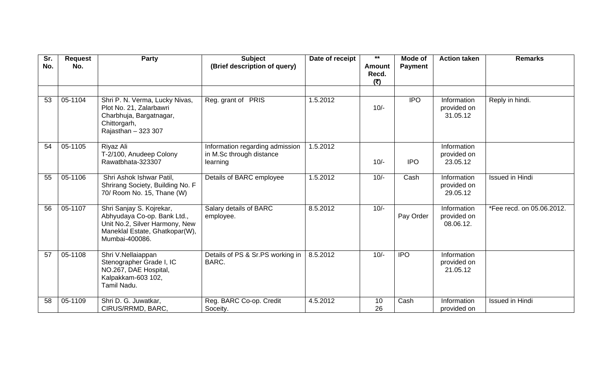| Sr.<br>No. | <b>Request</b><br>No. | <b>Party</b>                                                                                                                                  | <b>Subject</b><br>(Brief description of query)                          | Date of receipt | $***$<br><b>Amount</b><br>Recd. | Mode of<br><b>Payment</b> | <b>Action taken</b>                     | <b>Remarks</b>            |
|------------|-----------------------|-----------------------------------------------------------------------------------------------------------------------------------------------|-------------------------------------------------------------------------|-----------------|---------------------------------|---------------------------|-----------------------------------------|---------------------------|
|            |                       |                                                                                                                                               |                                                                         |                 | (₹)                             |                           |                                         |                           |
|            |                       |                                                                                                                                               |                                                                         |                 |                                 |                           |                                         |                           |
| 53         | 05-1104               | Shri P. N. Verma, Lucky Nivas,<br>Plot No. 21, Zalarbawri<br>Charbhuja, Bargatnagar,<br>Chittorgarh,<br>Rajasthan - 323 307                   | Reg. grant of PRIS                                                      | 1.5.2012        | $10/-$                          | <b>IPO</b>                | Information<br>provided on<br>31.05.12  | Reply in hindi.           |
| 54         | 05-1105               | Riyaz Ali<br>T-2/100, Anudeep Colony<br>Rawatbhata-323307                                                                                     | Information regarding admission<br>in M.Sc through distance<br>learning | 1.5.2012        | $10/-$                          | <b>IPO</b>                | Information<br>provided on<br>23.05.12  |                           |
| 55         | 05-1106               | Shri Ashok Ishwar Patil,<br>Shrirang Society, Building No. F<br>70/ Room No. 15, Thane (W)                                                    | Details of BARC employee                                                | 1.5.2012        | $10/-$                          | Cash                      | Information<br>provided on<br>29.05.12  | <b>Issued in Hindi</b>    |
| 56         | 05-1107               | Shri Sanjay S. Kojrekar,<br>Abhyudaya Co-op. Bank Ltd.,<br>Unit No.2, Silver Harmony, New<br>Maneklal Estate, Ghatkopar(W),<br>Mumbai-400086. | Salary details of BARC<br>employee.                                     | 8.5.2012        | $10/-$                          | Pay Order                 | Information<br>provided on<br>08.06.12. | *Fee recd. on 05.06.2012. |
| 57         | 05-1108               | Shri V.Nellaiappan<br>Stenographer Grade I, IC<br>NO.267, DAE Hospital,<br>Kalpakkam-603 102,<br>Tamil Nadu.                                  | Details of PS & Sr.PS working in<br>BARC.                               | 8.5.2012        | $10/-$                          | <b>IPO</b>                | Information<br>provided on<br>21.05.12  |                           |
| 58         | 05-1109               | Shri D. G. Juwatkar,<br>CIRUS/RRMD, BARC,                                                                                                     | Reg. BARC Co-op. Credit<br>Soceity.                                     | 4.5.2012        | 10<br>26                        | Cash                      | Information<br>provided on              | <b>Issued in Hindi</b>    |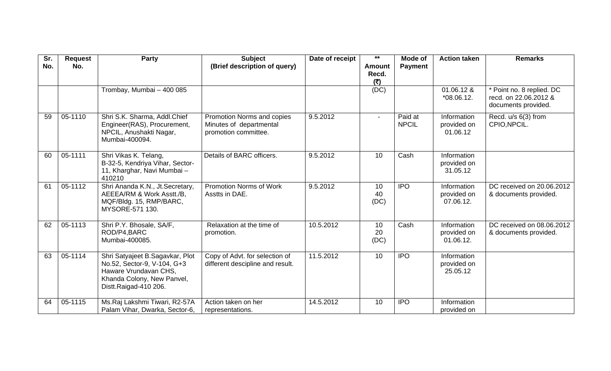| Sr.<br>No. | <b>Request</b><br>No. | <b>Party</b>                                                                                                                                   | <b>Subject</b><br>(Brief description of query)                                | Date of receipt | $***$<br><b>Amount</b> | Mode of<br><b>Payment</b> | <b>Action taken</b>                     | <b>Remarks</b>                                                          |
|------------|-----------------------|------------------------------------------------------------------------------------------------------------------------------------------------|-------------------------------------------------------------------------------|-----------------|------------------------|---------------------------|-----------------------------------------|-------------------------------------------------------------------------|
|            |                       |                                                                                                                                                |                                                                               |                 | Recd.<br>(₹)           |                           |                                         |                                                                         |
|            |                       | Trombay, Mumbai - 400 085                                                                                                                      |                                                                               |                 | (DC)                   |                           | $01.06.12$ &<br>$*08.06.12.$            | Point no. 8 replied. DC<br>recd. on 22.06.2012 &<br>documents provided. |
| 59         | 05-1110               | Shri S.K. Sharma, Addl.Chief<br>Engineer(RAS), Procurement,<br>NPCIL, Anushakti Nagar,<br>Mumbai-400094.                                       | Promotion Norms and copies<br>Minutes of departmental<br>promotion committee. | 9.5.2012        | $\blacksquare$         | Paid at<br><b>NPCIL</b>   | Information<br>provided on<br>01.06.12  | Recd. u/s 6(3) from<br>CPIO, NPCIL.                                     |
| 60         | 05-1111               | Shri Vikas K. Telang,<br>B-32-5, Kendriya Vihar, Sector-<br>11, Kharghar, Navi Mumbai-<br>410210                                               | Details of BARC officers.                                                     | 9.5.2012        | 10                     | Cash                      | Information<br>provided on<br>31.05.12  |                                                                         |
| 61         | 05-1112               | Shri Ananda K.N., Jt.Secretary,<br>AEEEA/RM & Work Asstt./B,<br>MQF/Bldg. 15, RMP/BARC,<br>MYSORE-571 130.                                     | <b>Promotion Norms of Work</b><br>Asstts in DAE.                              | 9.5.2012        | 10<br>40<br>(DC)       | <b>IPO</b>                | Information<br>provided on<br>07.06.12. | DC received on 20.06.2012<br>& documents provided.                      |
| 62         | 05-1113               | Shri P.Y. Bhosale, SA/F,<br>ROD/P4,BARC<br>Mumbai-400085.                                                                                      | Relaxation at the time of<br>promotion.                                       | 10.5.2012       | 10<br>20<br>(DC)       | Cash                      | Information<br>provided on<br>01.06.12. | DC received on 08.06.2012<br>& documents provided.                      |
| 63         | 05-1114               | Shri Satyajeet B.Sagavkar, Plot<br>No.52, Sector-9, V-104, G+3<br>Haware Vrundavan CHS,<br>Khanda Colony, New Panvel,<br>Distt.Raigad-410 206. | Copy of Advt. for selection of<br>different descipline and result.            | 11.5.2012       | 10                     | <b>IPO</b>                | Information<br>provided on<br>25.05.12  |                                                                         |
| 64         | 05-1115               | Ms.Raj Lakshmi Tiwari, R2-57A<br>Palam Vihar, Dwarka, Sector-6,                                                                                | Action taken on her<br>representations.                                       | 14.5.2012       | 10                     | <b>IPO</b>                | Information<br>provided on              |                                                                         |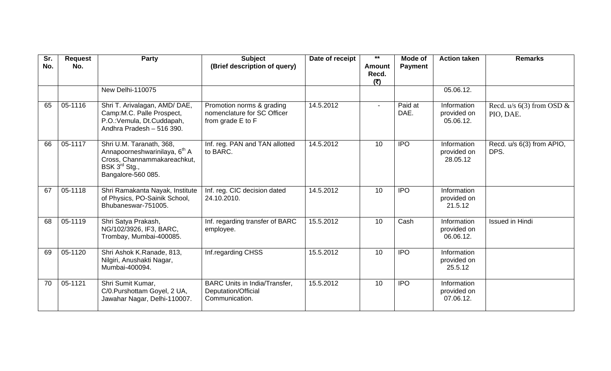| Sr.<br>No. | <b>Request</b><br>No. | <b>Party</b>                                                                                                                                            | <b>Subject</b><br>(Brief description of query)                                | Date of receipt | $***$<br><b>Amount</b><br>Recd.<br>(₹) | Mode of<br><b>Payment</b> | <b>Action taken</b>                     | <b>Remarks</b>                           |
|------------|-----------------------|---------------------------------------------------------------------------------------------------------------------------------------------------------|-------------------------------------------------------------------------------|-----------------|----------------------------------------|---------------------------|-----------------------------------------|------------------------------------------|
|            |                       | New Delhi-110075                                                                                                                                        |                                                                               |                 |                                        |                           | 05.06.12.                               |                                          |
| 65         | 05-1116               | Shri T. Arivalagan, AMD/DAE,<br>Camp:M.C. Palle Prospect,<br>P.O.: Vemula, Dt.Cuddapah,<br>Andhra Pradesh - 516 390.                                    | Promotion norms & grading<br>nomenclature for SC Officer<br>from grade E to F | 14.5.2012       |                                        | Paid at<br>DAE.           | Information<br>provided on<br>05.06.12. | Recd. $u/s$ 6(3) from OSD &<br>PIO, DAE. |
| 66         | 05-1117               | Shri U.M. Taranath, 368,<br>Annapoorneshwarinilaya, 6 <sup>th</sup> A<br>Cross, Channammakareachkut,<br>BSK 3 <sup>rd</sup> Stg.,<br>Bangalore-560 085. | Inf. reg. PAN and TAN allotted<br>to BARC.                                    | 14.5.2012       | 10                                     | <b>IPO</b>                | Information<br>provided on<br>28.05.12  | Recd. u/s 6(3) from APIO,<br>DPS.        |
| 67         | 05-1118               | Shri Ramakanta Nayak, Institute<br>of Physics, PO-Sainik School,<br>Bhubaneswar-751005.                                                                 | Inf. reg. CIC decision dated<br>24.10.2010.                                   | 14.5.2012       | 10                                     | <b>IPO</b>                | Information<br>provided on<br>21.5.12   |                                          |
| 68         | 05-1119               | Shri Satya Prakash,<br>NG/102/3926, IF3, BARC,<br>Trombay, Mumbai-400085.                                                                               | Inf. regarding transfer of BARC<br>employee.                                  | 15.5.2012       | 10                                     | Cash                      | Information<br>provided on<br>06.06.12. | <b>Issued in Hindi</b>                   |
| 69         | 05-1120               | Shri Ashok K.Ranade, 813,<br>Nilgiri, Anushakti Nagar,<br>Mumbai-400094.                                                                                | Inf.regarding CHSS                                                            | 15.5.2012       | 10                                     | $\overline{IPO}$          | Information<br>provided on<br>25.5.12   |                                          |
| 70         | 05-1121               | Shri Sumit Kumar,<br>C/0.Purshottam Goyel, 2 UA,<br>Jawahar Nagar, Delhi-110007.                                                                        | <b>BARC Units in India/Transfer,</b><br>Deputation/Official<br>Communication. | 15.5.2012       | 10                                     | <b>IPO</b>                | Information<br>provided on<br>07.06.12. |                                          |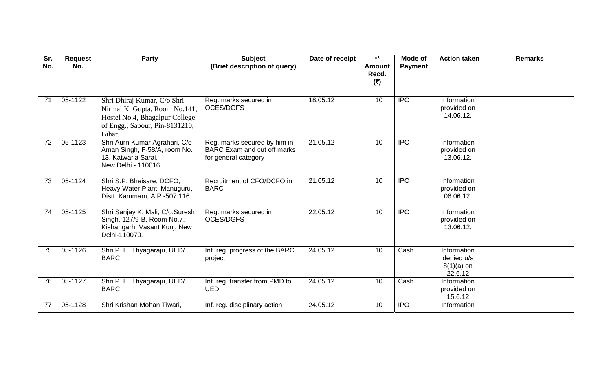| Sr.<br>No. | <b>Request</b><br>No. | <b>Party</b>                                                                                                                               | <b>Subject</b><br>(Brief description of query)                                             | Date of receipt | $***$<br><b>Amount</b><br>Recd.<br>(5) | Mode of<br><b>Payment</b> | <b>Action taken</b>                                  | <b>Remarks</b> |
|------------|-----------------------|--------------------------------------------------------------------------------------------------------------------------------------------|--------------------------------------------------------------------------------------------|-----------------|----------------------------------------|---------------------------|------------------------------------------------------|----------------|
| 71         | 05-1122               | Shri Dhiraj Kumar, C/o Shri<br>Nirmal K. Gupta, Room No.141,<br>Hostel No.4, Bhagalpur College<br>of Engg., Sabour, Pin-8131210,<br>Bihar. | Reg. marks secured in<br><b>OCES/DGFS</b>                                                  | 18.05.12        | 10                                     | <b>IPO</b>                | Information<br>provided on<br>14.06.12.              |                |
| 72         | 05-1123               | Shri Aurn Kumar Agrahari, C/o<br>Aman Singh, F-58/A, room No.<br>13, Katwaria Sarai,<br>New Delhi - 110016                                 | Reg. marks secured by him in<br><b>BARC</b> Exam and cut off marks<br>for general category | 21.05.12        | 10                                     | <b>IPO</b>                | Information<br>provided on<br>13.06.12.              |                |
| 73         | 05-1124               | Shri S.P. Bhaisare, DCFO,<br>Heavy Water Plant, Manuguru,<br>Distt. Kammam, A.P.-507 116.                                                  | Recruitment of CFO/DCFO in<br><b>BARC</b>                                                  | 21.05.12        | 10                                     | <b>IPO</b>                | Information<br>provided on<br>06.06.12.              |                |
| 74         | 05-1125               | Shri Sanjay K. Mali, C/o.Suresh<br>Singh, 127/9-B, Room No.7,<br>Kishangarh, Vasant Kunj, New<br>Delhi-110070.                             | Reg. marks secured in<br><b>OCES/DGFS</b>                                                  | 22.05.12        | 10                                     | <b>IPO</b>                | Information<br>provided on<br>13.06.12.              |                |
| 75         | 05-1126               | Shri P. H. Thyagaraju, UED/<br><b>BARC</b>                                                                                                 | Inf. reg. progress of the BARC<br>project                                                  | 24.05.12        | 10                                     | Cash                      | Information<br>denied u/s<br>$8(1)(a)$ on<br>22.6.12 |                |
| 76         | 05-1127               | Shri P. H. Thyagaraju, UED/<br><b>BARC</b>                                                                                                 | Inf. reg. transfer from PMD to<br><b>UED</b>                                               | 24.05.12        | 10                                     | Cash                      | Information<br>provided on<br>15.6.12                |                |
| 77         | 05-1128               | Shri Krishan Mohan Tiwari,                                                                                                                 | Inf. reg. disciplinary action                                                              | 24.05.12        | 10                                     | <b>IPO</b>                | Information                                          |                |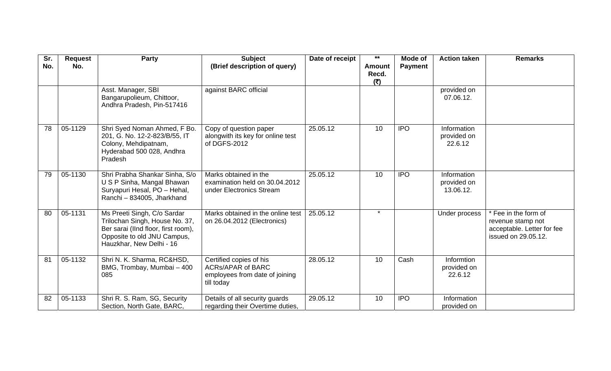| Sr.<br>No. | <b>Request</b><br>No. | <b>Party</b>                                                                                                                                                    | <b>Subject</b><br>(Brief description of query)                                                      | Date of receipt | $***$<br><b>Amount</b> | Mode of<br><b>Payment</b> | <b>Action taken</b>                     | <b>Remarks</b>                                                                                 |
|------------|-----------------------|-----------------------------------------------------------------------------------------------------------------------------------------------------------------|-----------------------------------------------------------------------------------------------------|-----------------|------------------------|---------------------------|-----------------------------------------|------------------------------------------------------------------------------------------------|
|            |                       |                                                                                                                                                                 |                                                                                                     |                 | Recd.<br>(₹)           |                           |                                         |                                                                                                |
|            |                       | Asst. Manager, SBI<br>Bangarupolieum, Chittoor,<br>Andhra Pradesh, Pin-517416                                                                                   | against BARC official                                                                               |                 |                        |                           | provided on<br>07.06.12.                |                                                                                                |
| 78         | 05-1129               | Shri Syed Noman Ahmed, F Bo.<br>201, G. No. 12-2-823/B/55, IT<br>Colony, Mehdipatnam,<br>Hyderabad 500 028, Andhra<br>Pradesh                                   | Copy of question paper<br>alongwith its key for online test<br>of DGFS-2012                         | 25.05.12        | 10                     | <b>IPO</b>                | Information<br>provided on<br>22.6.12   |                                                                                                |
| 79         | 05-1130               | Shri Prabha Shankar Sinha, S/o<br>U S P Sinha, Mangal Bhawan<br>Suryapuri Hesal, PO - Hehal,<br>Ranchi - 834005, Jharkhand                                      | Marks obtained in the<br>examination held on 30.04.2012<br>under Electronics Stream                 | 25.05.12        | 10                     | <b>IPO</b>                | Information<br>provided on<br>13.06.12. |                                                                                                |
| 80         | 05-1131               | Ms Preeti Singh, C/o Sardar<br>Trilochan Singh, House No. 37,<br>Ber sarai (IInd floor, first room),<br>Opposite to old JNU Campus,<br>Hauzkhar, New Delhi - 16 | Marks obtained in the online test<br>on 26.04.2012 (Electronics)                                    | 25.05.12        | $\star$                |                           | Under process                           | * Fee in the form of<br>revenue stamp not<br>acceptable. Letter for fee<br>issued on 29.05.12. |
| 81         | 05-1132               | Shri N. K. Sharma, RC&HSD,<br>BMG, Trombay, Mumbai - 400<br>085                                                                                                 | Certified copies of his<br><b>ACRS/APAR of BARC</b><br>employees from date of joining<br>till today | 28.05.12        | 10                     | Cash                      | Informtion<br>provided on<br>22.6.12    |                                                                                                |
| 82         | 05-1133               | Shri R. S. Ram, SG, Security<br>Section, North Gate, BARC,                                                                                                      | Details of all security guards<br>regarding their Overtime duties,                                  | 29.05.12        | 10                     | <b>IPO</b>                | Information<br>provided on              |                                                                                                |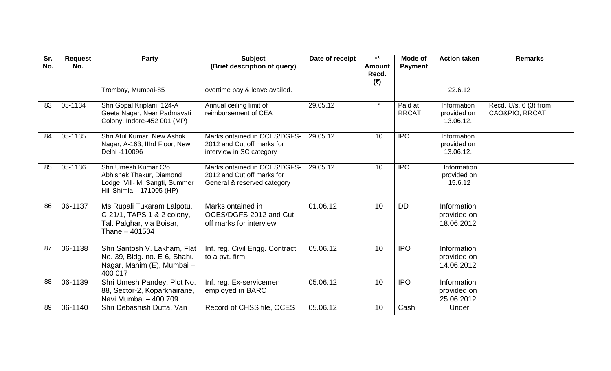| Sr.<br>No. | <b>Request</b><br>No. | Party                                                                                                           | <b>Subject</b><br>(Brief description of query)                                            | Date of receipt | $\star\star$<br><b>Amount</b><br>Recd.<br>(₹) | Mode of<br><b>Payment</b> | <b>Action taken</b>                      | <b>Remarks</b>                          |
|------------|-----------------------|-----------------------------------------------------------------------------------------------------------------|-------------------------------------------------------------------------------------------|-----------------|-----------------------------------------------|---------------------------|------------------------------------------|-----------------------------------------|
|            |                       | Trombay, Mumbai-85                                                                                              | overtime pay & leave availed.                                                             |                 |                                               |                           | 22.6.12                                  |                                         |
| 83         | 05-1134               | Shri Gopal Kriplani, 124-A<br>Geeta Nagar, Near Padmavati<br>Colony, Indore-452 001 (MP)                        | Annual ceiling limit of<br>reimbursement of CEA                                           | 29.05.12        | $\star$                                       | Paid at<br><b>RRCAT</b>   | Information<br>provided on<br>13.06.12.  | Recd. U/s. 6 (3) from<br>CAO&PIO, RRCAT |
| 84         | 05-1135               | Shri Atul Kumar, New Ashok<br>Nagar, A-163, Illrd Floor, New<br>Delhi -110096                                   | Marks ontained in OCES/DGFS-<br>2012 and Cut off marks for<br>interview in SC category    | 29.05.12        | 10                                            | <b>IPO</b>                | Information<br>provided on<br>13.06.12.  |                                         |
| 85         | 05-1136               | Shri Umesh Kumar C/o<br>Abhishek Thakur, Diamond<br>Lodge, Vill- M. Sangti, Summer<br>Hill Shimla - 171005 (HP) | Marks ontained in OCES/DGFS-<br>2012 and Cut off marks for<br>General & reserved category | 29.05.12        | 10                                            | <b>IPO</b>                | Information<br>provided on<br>15.6.12    |                                         |
| 86         | 06-1137               | Ms Rupali Tukaram Lalpotu,<br>C-21/1, TAPS 1 & 2 colony,<br>Tal. Palghar, via Boisar,<br>Thane - 401504         | Marks ontained in<br>OCES/DGFS-2012 and Cut<br>off marks for interview                    | 01.06.12        | 10                                            | <b>DD</b>                 | Information<br>provided on<br>18.06.2012 |                                         |
| 87         | 06-1138               | Shri Santosh V. Lakham, Flat<br>No. 39, Bldg. no. E-6, Shahu<br>Nagar, Mahim (E), Mumbai -<br>400 017           | Inf. reg. Civil Engg. Contract<br>to a pvt. firm                                          | 05.06.12        | 10                                            | <b>IPO</b>                | Information<br>provided on<br>14.06.2012 |                                         |
| 88         | 06-1139               | Shri Umesh Pandey, Plot No.<br>88, Sector-2, Koparkhairane,<br>Navi Mumbai - 400 709                            | Inf. reg. Ex-servicemen<br>employed in BARC                                               | 05.06.12        | 10                                            | <b>IPO</b>                | Information<br>provided on<br>25.06.2012 |                                         |
| 89         | 06-1140               | Shri Debashish Dutta, Van                                                                                       | Record of CHSS file, OCES                                                                 | 05.06.12        | 10                                            | Cash                      | Under                                    |                                         |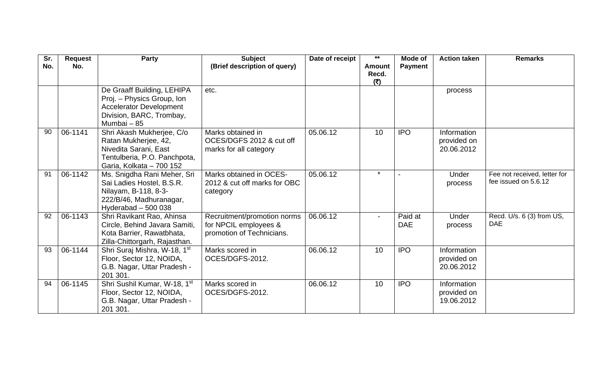| Sr.<br>No. | <b>Request</b><br>No. | <b>Party</b>                                                                                                                           | <b>Subject</b><br>(Brief description of query)                                    | Date of receipt | $***$<br><b>Amount</b> | Mode of<br><b>Payment</b> | <b>Action taken</b>                      | <b>Remarks</b>                                       |
|------------|-----------------------|----------------------------------------------------------------------------------------------------------------------------------------|-----------------------------------------------------------------------------------|-----------------|------------------------|---------------------------|------------------------------------------|------------------------------------------------------|
|            |                       |                                                                                                                                        |                                                                                   |                 | Recd.<br>(₹)           |                           |                                          |                                                      |
|            |                       | De Graaff Building, LEHIPA<br>Proj. - Physics Group, Ion<br><b>Accelerator Development</b><br>Division, BARC, Trombay,<br>Mumbai - 85  | etc.                                                                              |                 |                        |                           | process                                  |                                                      |
| 90         | 06-1141               | Shri Akash Mukherjee, C/o<br>Ratan Mukherjee, 42,<br>Nivedita Sarani, East<br>Tentulberia, P.O. Panchpota,<br>Garia, Kolkata - 700 152 | Marks obtained in<br>OCES/DGFS 2012 & cut off<br>marks for all category           | 05.06.12        | 10                     | <b>IPO</b>                | Information<br>provided on<br>20.06.2012 |                                                      |
| 91         | 06-1142               | Ms. Snigdha Rani Meher, Sri<br>Sai Ladies Hostel, B.S.R.<br>Nilayam, B-118, 8-3-<br>222/B/46, Madhuranagar,<br>Hyderabad $-500038$     | Marks obtained in OCES-<br>2012 & cut off marks for OBC<br>category               | 05.06.12        | $\star$                |                           | Under<br>process                         | Fee not received, letter for<br>fee issued on 5.6.12 |
| 92         | 06-1143               | Shri Ravikant Rao, Ahinsa<br>Circle, Behind Javara Samiti,<br>Kota Barrier, Rawatbhata,<br>Zilla-Chittorgarh, Rajasthan.               | Recruitment/promotion norms<br>for NPCIL employees &<br>promotion of Technicians. | 06.06.12        |                        | Paid at<br><b>DAE</b>     | Under<br>process                         | Recd. U/s. 6 (3) from US,<br><b>DAE</b>              |
| 93         | 06-1144               | Shri Suraj Mishra, W-18, 1st<br>Floor, Sector 12, NOIDA,<br>G.B. Nagar, Uttar Pradesh -<br>201 301.                                    | Marks scored in<br>OCES/DGFS-2012.                                                | 06.06.12        | 10                     | <b>IPO</b>                | Information<br>provided on<br>20.06.2012 |                                                      |
| 94         | 06-1145               | Shri Sushil Kumar, W-18, 1st<br>Floor, Sector 12, NOIDA,<br>G.B. Nagar, Uttar Pradesh -<br>201 301.                                    | Marks scored in<br>OCES/DGFS-2012.                                                | 06.06.12        | 10                     | <b>IPO</b>                | Information<br>provided on<br>19.06.2012 |                                                      |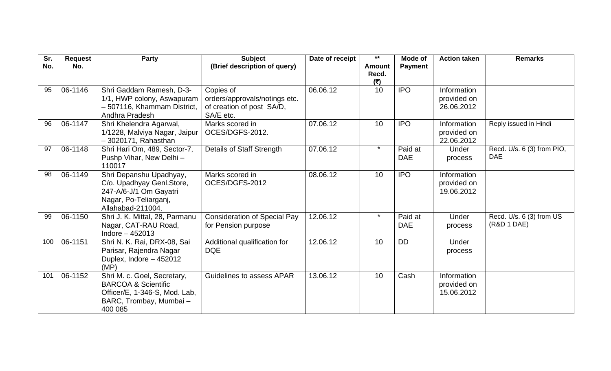| Sr. | <b>Request</b> | Party                                                           | <b>Subject</b>                      | Date of receipt | $***$         | Mode of        | <b>Action taken</b>        | <b>Remarks</b>             |
|-----|----------------|-----------------------------------------------------------------|-------------------------------------|-----------------|---------------|----------------|----------------------------|----------------------------|
| No. | No.            |                                                                 | (Brief description of query)        |                 | <b>Amount</b> | <b>Payment</b> |                            |                            |
|     |                |                                                                 |                                     |                 | Recd.<br>(5)  |                |                            |                            |
| 95  | 06-1146        | Shri Gaddam Ramesh, D-3-                                        | Copies of                           | 06.06.12        | 10            | <b>IPO</b>     | Information                |                            |
|     |                | 1/1, HWP colony, Aswapuram                                      | orders/approvals/notings etc.       |                 |               |                | provided on                |                            |
|     |                | - 507116, Khammam District,                                     | of creation of post SA/D,           |                 |               |                | 26.06.2012                 |                            |
| 96  | 06-1147        | Andhra Pradesh<br>Shri Khelendra Agarwal,                       | SA/E etc.<br>Marks scored in        | 07.06.12        | 10            | <b>IPO</b>     | Information                | Reply issued in Hindi      |
|     |                | 1/1228, Malviya Nagar, Jaipur                                   | OCES/DGFS-2012.                     |                 |               |                | provided on                |                            |
|     |                | $-3020171$ , Rahasthan                                          |                                     |                 |               |                | 22.06.2012                 |                            |
| 97  | 06-1148        | Shri Hari Om, 489, Sector-7,                                    | Details of Staff Strength           | 07.06.12        | $\star$       | Paid at        | Under                      | Recd. U/s. 6 (3) from PIO, |
|     |                | Pushp Vihar, New Delhi -                                        |                                     |                 |               | <b>DAE</b>     | process                    | <b>DAE</b>                 |
| 98  |                | 110017                                                          |                                     |                 |               |                |                            |                            |
|     | 06-1149        | Shri Depanshu Upadhyay,<br>C/o. Upadhyay Genl.Store,            | Marks scored in<br>OCES/DGFS-2012   | 08.06.12        | 10            | <b>IPO</b>     | Information<br>provided on |                            |
|     |                | 247-A/6-J/1 Om Gayatri                                          |                                     |                 |               |                | 19.06.2012                 |                            |
|     |                | Nagar, Po-Teliarganj,                                           |                                     |                 |               |                |                            |                            |
|     |                | Allahabad-211004.                                               |                                     |                 |               |                |                            |                            |
| 99  | 06-1150        | Shri J. K. Mittal, 28, Parmanu                                  | <b>Consideration of Special Pay</b> | 12.06.12        | $\star$       | Paid at        | Under                      | Recd. U/s. 6 (3) from US   |
|     |                | Nagar, CAT-RAU Road,<br>Indore $-452013$                        | for Pension purpose                 |                 |               | <b>DAE</b>     | process                    | (R&D 1 DAE)                |
| 100 | 06-1151        | Shri N. K. Rai, DRX-08, Sai                                     | Additional qualification for        | 12.06.12        | 10            | <b>DD</b>      | Under                      |                            |
|     |                | Parisar, Rajendra Nagar                                         | <b>DQE</b>                          |                 |               |                | process                    |                            |
|     |                | Duplex, Indore - 452012                                         |                                     |                 |               |                |                            |                            |
|     |                | (MP)                                                            |                                     |                 |               |                |                            |                            |
| 101 | 06-1152        | Shri M. c. Goel, Secretary,                                     | Guidelines to assess APAR           | 13.06.12        | 10            | Cash           | Information                |                            |
|     |                | <b>BARCOA &amp; Scientific</b><br>Officer/E, 1-346-S, Mod. Lab, |                                     |                 |               |                | provided on<br>15.06.2012  |                            |
|     |                | BARC, Trombay, Mumbai-                                          |                                     |                 |               |                |                            |                            |
|     |                | 400 085                                                         |                                     |                 |               |                |                            |                            |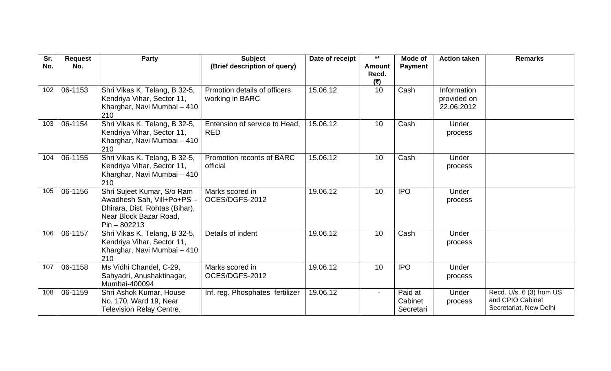| Sr. | <b>Request</b> | Party                                                                                                                                  | <b>Subject</b>                                  | Date of receipt | $\star\star$                  | <b>Mode of</b>                  | <b>Action taken</b>                      | <b>Remarks</b>                                                         |
|-----|----------------|----------------------------------------------------------------------------------------------------------------------------------------|-------------------------------------------------|-----------------|-------------------------------|---------------------------------|------------------------------------------|------------------------------------------------------------------------|
| No. | No.            |                                                                                                                                        | (Brief description of query)                    |                 | <b>Amount</b><br>Recd.<br>(5) | <b>Payment</b>                  |                                          |                                                                        |
| 102 | 06-1153        | Shri Vikas K. Telang, B 32-5,<br>Kendriya Vihar, Sector 11,<br>Kharghar, Navi Mumbai - 410<br>210                                      | Prmotion details of officers<br>working in BARC | 15.06.12        | 10                            | Cash                            | Information<br>provided on<br>22.06.2012 |                                                                        |
| 103 | 06-1154        | Shri Vikas K. Telang, B 32-5,<br>Kendriya Vihar, Sector 11,<br>Kharghar, Navi Mumbai - 410<br>210                                      | Entension of service to Head,<br><b>RED</b>     | 15.06.12        | 10                            | Cash                            | Under<br>process                         |                                                                        |
| 104 | 06-1155        | Shri Vikas K. Telang, B 32-5,<br>Kendriya Vihar, Sector 11,<br>Kharghar, Navi Mumbai - 410<br>210                                      | Promotion records of BARC<br>official           | 15.06.12        | 10                            | Cash                            | Under<br>process                         |                                                                        |
| 105 | 06-1156        | Shri Sujeet Kumar, S/o Ram<br>Awadhesh Sah, Vill+Po+PS -<br>Dhirara, Dist. Rohtas (Bihar),<br>Near Block Bazar Road,<br>$Pin - 802213$ | Marks scored in<br>OCES/DGFS-2012               | 19.06.12        | 10                            | <b>IPO</b>                      | Under<br>process                         |                                                                        |
| 106 | 06-1157        | Shri Vikas K. Telang, B 32-5,<br>Kendriya Vihar, Sector 11,<br>Kharghar, Navi Mumbai - 410<br>210                                      | Details of indent                               | 19.06.12        | 10                            | Cash                            | Under<br>process                         |                                                                        |
| 107 | 06-1158        | Ms Vidhi Chandel, C-29,<br>Sahyadri, Anushaktinagar,<br>Mumbai-400094                                                                  | Marks scored in<br>OCES/DGFS-2012               | 19.06.12        | 10                            | <b>IPO</b>                      | Under<br>process                         |                                                                        |
| 108 | 06-1159        | Shri Ashok Kumar, House<br>No. 170, Ward 19, Near<br><b>Television Relay Centre,</b>                                                   | Inf. reg. Phosphates fertilizer                 | 19.06.12        | $\overline{\phantom{0}}$      | Paid at<br>Cabinet<br>Secretari | Under<br>process                         | Recd. U/s. 6 (3) from US<br>and CPIO Cabinet<br>Secretariat, New Delhi |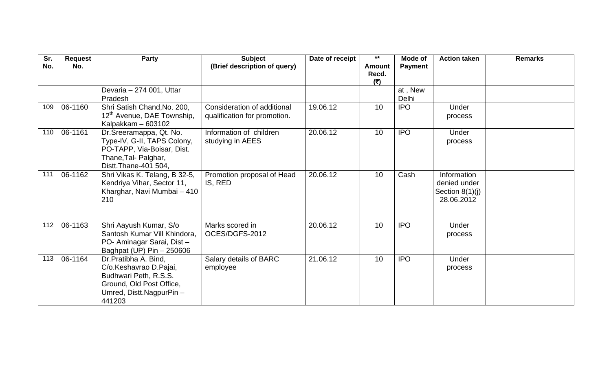| Sr.<br>No. | <b>Request</b><br>No. | Party                                                                                                                                    | <b>Subject</b><br>(Brief description of query)              | Date of receipt | $***$<br><b>Amount</b> | Mode of          | <b>Action taken</b>                                            | <b>Remarks</b> |
|------------|-----------------------|------------------------------------------------------------------------------------------------------------------------------------------|-------------------------------------------------------------|-----------------|------------------------|------------------|----------------------------------------------------------------|----------------|
|            |                       |                                                                                                                                          |                                                             |                 | Recd.<br>(₹)           | <b>Payment</b>   |                                                                |                |
|            |                       | Devaria - 274 001, Uttar<br>Pradesh                                                                                                      |                                                             |                 |                        | at, New<br>Delhi |                                                                |                |
| 109        | 06-1160               | Shri Satish Chand, No. 200,<br>12 <sup>th</sup> Avenue, DAE Township,<br>Kalpakkam - 603102                                              | Consideration of additional<br>qualification for promotion. | 19.06.12        | 10                     | <b>IPO</b>       | Under<br>process                                               |                |
| 110        | 06-1161               | Dr.Sreeramappa, Qt. No.<br>Type-IV, G-II, TAPS Colony,<br>PO-TAPP, Via-Boisar, Dist.<br>Thane, Tal- Palghar,<br>Distt.Thane-401 504,     | Information of children<br>studying in AEES                 | 20.06.12        | 10 <sup>°</sup>        | <b>IPO</b>       | Under<br>process                                               |                |
| 111        | 06-1162               | Shri Vikas K. Telang, B 32-5,<br>Kendriya Vihar, Sector 11,<br>Kharghar, Navi Mumbai - 410<br>210                                        | Promotion proposal of Head<br>IS, RED                       | 20.06.12        | 10                     | Cash             | Information<br>denied under<br>Section $8(1)(j)$<br>28.06.2012 |                |
| 112        | 06-1163               | Shri Aayush Kumar, S/o<br>Santosh Kumar Vill Khindora,<br>PO- Aminagar Sarai, Dist-<br>Baghpat (UP) Pin - 250606                         | Marks scored in<br>OCES/DGFS-2012                           | 20.06.12        | 10 <sup>°</sup>        | <b>IPO</b>       | Under<br>process                                               |                |
| 113        | 06-1164               | Dr.Pratibha A. Bind,<br>C/o.Keshavrao D.Pajai,<br>Budhwari Peth, R.S.S.<br>Ground, Old Post Office,<br>Umred, Distt.NagpurPin-<br>441203 | Salary details of BARC<br>employee                          | 21.06.12        | 10 <sup>°</sup>        | <b>IPO</b>       | Under<br>process                                               |                |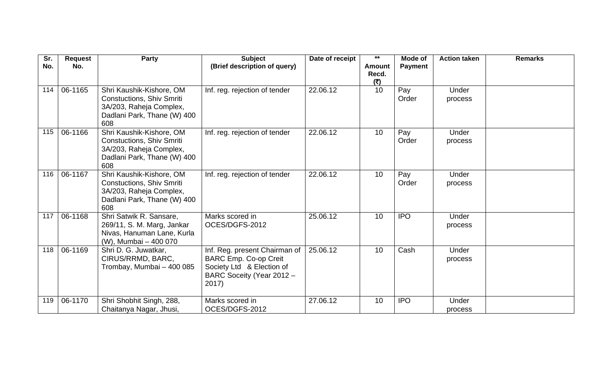| Sr.<br>No. | <b>Request</b><br>No. | <b>Party</b>                                                                                                                  | <b>Subject</b><br>(Brief description of query)                                                                                   | Date of receipt | $***$<br><b>Amount</b><br>Recd. | Mode of<br><b>Payment</b> | <b>Action taken</b> | <b>Remarks</b> |
|------------|-----------------------|-------------------------------------------------------------------------------------------------------------------------------|----------------------------------------------------------------------------------------------------------------------------------|-----------------|---------------------------------|---------------------------|---------------------|----------------|
| 114        | 06-1165               | Shri Kaushik-Kishore, OM<br><b>Constuctions, Shiv Smriti</b><br>3A/203, Raheja Complex,<br>Dadlani Park, Thane (W) 400<br>608 | Inf. reg. rejection of tender                                                                                                    | 22.06.12        | (5)<br>10                       | Pay<br>Order              | Under<br>process    |                |
| 115        | 06-1166               | Shri Kaushik-Kishore, OM<br><b>Constuctions, Shiv Smriti</b><br>3A/203, Raheja Complex,<br>Dadlani Park, Thane (W) 400<br>608 | Inf. reg. rejection of tender                                                                                                    | 22.06.12        | 10                              | Pay<br>Order              | Under<br>process    |                |
| 116        | 06-1167               | Shri Kaushik-Kishore, OM<br><b>Constuctions, Shiv Smriti</b><br>3A/203, Raheja Complex,<br>Dadlani Park, Thane (W) 400<br>608 | Inf. reg. rejection of tender                                                                                                    | 22.06.12        | 10                              | Pay<br>Order              | Under<br>process    |                |
| 117        | 06-1168               | Shri Satwik R. Sansare,<br>269/11, S. M. Marg, Jankar<br>Nivas, Hanuman Lane, Kurla<br>(W), Mumbai - 400 070                  | Marks scored in<br>OCES/DGFS-2012                                                                                                | 25.06.12        | 10                              | <b>IPO</b>                | Under<br>process    |                |
| 118        | 06-1169               | Shri D. G. Juwatkar,<br>CIRUS/RRMD, BARC,<br>Trombay, Mumbai - 400 085                                                        | Inf. Reg. present Chairman of<br><b>BARC Emp. Co-op Creit</b><br>Society Ltd & Election of<br>BARC Soceity (Year 2012 -<br>2017) | 25.06.12        | 10                              | Cash                      | Under<br>process    |                |
| 119        | 06-1170               | Shri Shobhit Singh, 288,<br>Chaitanya Nagar, Jhusi,                                                                           | Marks scored in<br>OCES/DGFS-2012                                                                                                | 27.06.12        | 10                              | <b>IPO</b>                | Under<br>process    |                |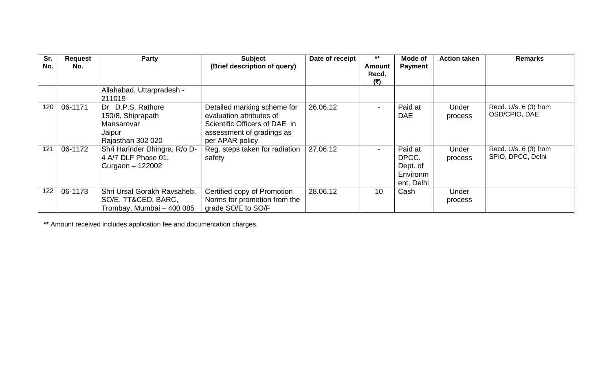| Sr.<br>No. | <b>Request</b><br>No. | Party                                                                                | <b>Subject</b><br>(Brief description of query)                                                                                           | Date of receipt | $***$<br><b>Amount</b> | <b>Mode of</b><br><b>Payment</b>                       | <b>Action taken</b> | <b>Remarks</b>                             |
|------------|-----------------------|--------------------------------------------------------------------------------------|------------------------------------------------------------------------------------------------------------------------------------------|-----------------|------------------------|--------------------------------------------------------|---------------------|--------------------------------------------|
|            |                       |                                                                                      |                                                                                                                                          |                 | Recd.<br>(₹)           |                                                        |                     |                                            |
|            |                       | Allahabad, Uttarpradesh -<br>211019                                                  |                                                                                                                                          |                 |                        |                                                        |                     |                                            |
| 120        | 06-1171               | Dr. D.P.S. Rathore<br>150/8, Shiprapath<br>Mansarovar<br>Jaipur<br>Rajasthan 302 020 | Detailed marking scheme for<br>evaluation attributes of<br>Scientific Officers of DAE in<br>assessment of gradings as<br>per APAR policy | 26.06.12        | $\blacksquare$         | Paid at<br><b>DAE</b>                                  | Under<br>process    | Recd. U/s. 6 (3) from<br>OSD/CPIO, DAE     |
| 121        | 06-1172               | Shri Harinder Dhingra, R/o D-<br>4 A/7 DLF Phase 01,<br>Gurgaon - 122002             | Reg. steps taken for radiation<br>safety                                                                                                 | 27.06.12        |                        | Paid at<br>DPCC.<br>Dept. of<br>Environm<br>ent, Delhi | Under<br>process    | Recd. U/s. 6 (3) from<br>SPIO, DPCC, Delhi |
| 122        | 06-1173               | Shri Ursal Gorakh Ravsaheb,<br>SO/E, TT&CED, BARC,<br>Trombay, Mumbai - 400 085      | Certified copy of Promotion<br>Norms for promotion from the<br>grade SO/E to SO/F                                                        | 28.06.12        | 10                     | Cash                                                   | Under<br>process    |                                            |

**\*\*** Amount received includes application fee and documentation charges.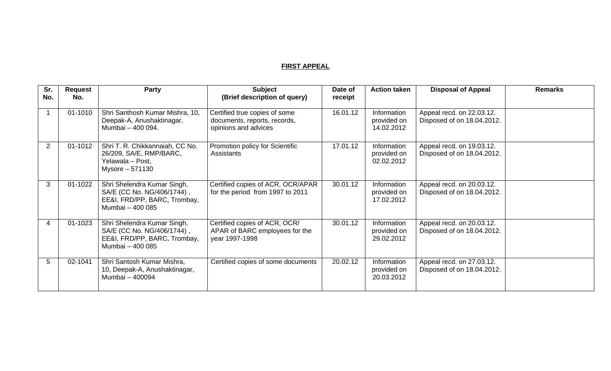## **FIRST APPEAL**

| Sr.<br>No. | <b>Request</b><br>No. | Party                                                                                                         | <b>Subject</b><br>(Brief description of query)                                        | Date of<br>receipt | <b>Action taken</b>                      | <b>Disposal of Appeal</b>                               | <b>Remarks</b> |
|------------|-----------------------|---------------------------------------------------------------------------------------------------------------|---------------------------------------------------------------------------------------|--------------------|------------------------------------------|---------------------------------------------------------|----------------|
|            | 01-1010               | Shri Santhosh Kumar Mishra, 10,<br>Deepak-A, Anushaktinagar,<br>Mumbai - 400 094.                             | Certified true copies of some<br>documents, reports, records,<br>opinions and advices | 16.01.12           | Information<br>provided on<br>14.02.2012 | Appeal recd. on 22.03.12.<br>Disposed of on 18.04.2012. |                |
| 2          | 01-1012               | Shri T. R. Chikkannaiah, CC No.<br>26/209, SA/E, RMP/BARC,<br>Yelawala - Post,<br>Mysore - 571130             | Promotion policy for Scientific<br>Assistants                                         | 17.01.12           | Information<br>provided on<br>02.02.2012 | Appeal recd. on 19.03.12.<br>Disposed of on 18.04.2012. |                |
| 3          | 01-1022               | Shri Shelendra Kumar Singh,<br>SA/E (CC No. NG/406/1744),<br>EE&I, FRD/PP, BARC, Trombay,<br>Mumbai - 400 085 | Certified copies of ACR, OCR/APAR<br>for the period from 1997 to 2011                 | 30.01.12           | Information<br>provided on<br>17.02.2012 | Appeal recd. on 20.03.12.<br>Disposed of on 18.04.2012. |                |
| 4          | 01-1023               | Shri Shelendra Kumar Singh,<br>SA/E (CC No. NG/406/1744),<br>EE&I, FRD/PP, BARC, Trombay,<br>Mumbai - 400 085 | Certified copies of ACR, OCR/<br>APAR of BARC employees for the<br>year 1997-1998     | 30.01.12           | Information<br>provided on<br>29.02.2012 | Appeal recd. on 20.03.12.<br>Disposed of on 18.04.2012. |                |
| 5          | 02-1041               | Shri Santosh Kumar Mishra,<br>10, Deepak-A, Anushaktinagar,<br>Mumbai - 400094                                | Certified copies of some documents                                                    | 20.02.12           | Information<br>provided on<br>20.03.2012 | Appeal recd. on 27.03.12.<br>Disposed of on 18.04.2012. |                |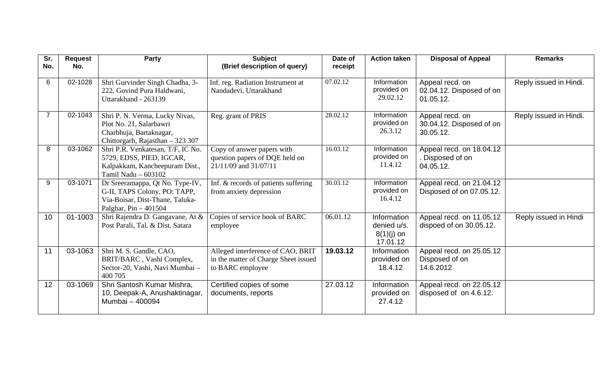| Sr.<br>No.     | <b>Request</b><br>No. | <b>Party</b>                                                                                                                  | <b>Subject</b><br>(Brief description of query)                                                | Date of<br>receipt | <b>Action taken</b>                                    | <b>Disposal of Appeal</b>                                | <b>Remarks</b>         |
|----------------|-----------------------|-------------------------------------------------------------------------------------------------------------------------------|-----------------------------------------------------------------------------------------------|--------------------|--------------------------------------------------------|----------------------------------------------------------|------------------------|
| 6              | 02-1028               | Shri Gurvinder Singh Chadha, 3-<br>222, Govind Pura Haldwani,<br>Uttarakhand - 263139                                         | Inf. reg. Radiation Instrument at<br>Nandadevi, Uttarakhand                                   | 07.02.12           | Information<br>provided on<br>29.02.12                 | Appeal recd. on<br>02.04.12. Disposed of on<br>01.05.12. | Reply issued in Hindi. |
| $\overline{7}$ | 02-1043               | Shri P. N. Verma, Lucky Nivas,<br>Plot No. 21, Salarbawri<br>Charbhuja, Bartaknagar,<br>Chittorgarh, Rajasthan - 323 307      | Reg. grant of PRIS                                                                            | 28.02.12           | Information<br>provided on<br>26.3.12                  | Appeal recd. on<br>30.04.12. Disposed of on<br>30.05.12. | Reply issued in Hindi. |
| 8              | 03-1062               | Shri P.R. Venkatesan, T/F, IC No.<br>5729, EDSS, PIED, IGCAR,<br>Kalpakkam, Kancheepuram Dist.,<br>Tamil Nadu - 603102        | Copy of answer papers with<br>question papers of DQE held on<br>21/11/09 and 31/07/11         | 16.03.12           | Information<br>provided on<br>11.4.12                  | Appeal recd. on 18.04.12<br>Disposed of on<br>04.05.12.  |                        |
| 9              | 03-1071               | Dr Sreeramappa, Qt No. Type-IV,<br>G-II, TAPS Colony, PO: TAPP,<br>Via-Boisar, Dist-Thane, Taluka-<br>Palghar, $Pin - 401504$ | Inf. & records of patients suffering<br>from anxiety depression                               | 30.03.12           | Information<br>provided on<br>16.4.12                  | Appeal recd. on 21.04.12<br>Disposed of on 07.05.12.     |                        |
| 10             | 01-1003               | Shri Rajendra D. Gangavane, At &<br>Post Parali, Tal. & Dist. Satara                                                          | Copies of service book of BARC<br>employee                                                    | 06.01.12           | Information<br>denied u/s.<br>$8(1)(j)$ on<br>17.01.12 | Appeal recd. on 11.05.12<br>dispoed of on 30.05.12.      | Reply issued in Hindi  |
| 11             | 03-1063               | Shri M. S. Gandle, CAO,<br>BRIT/BARC, Vashi Complex,<br>Sector-20, Vashi, Navi Mumbai -<br>400 705                            | Alleged interference of CAO, BRIT<br>in the matter of Charge Sheet issued<br>to BARC employee | 19.03.12           | Information<br>provided on<br>18.4.12                  | Appeal recd. on 25.05.12<br>Disposed of on<br>14.6.2012  |                        |
| 12             | 03-1069               | Shri Santosh Kumar Mishra,<br>10, Deepak-A, Anushaktinagar,<br>Mumbai - 400094                                                | Certified copies of some<br>documents, reports                                                | 27.03.12           | Information<br>provided on<br>27.4.12                  | Appeal recd. on 22.05.12<br>disposed of on 4.6.12.       |                        |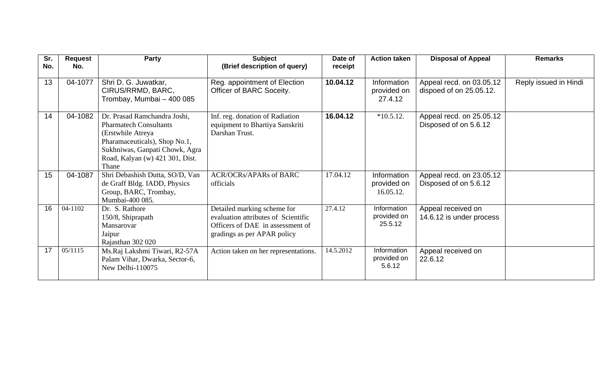| Sr.<br>No. | <b>Request</b><br>No. | Party                                                                                                                                                                                             | <b>Subject</b><br>(Brief description of query)                                                                                        | Date of<br>receipt | <b>Action taken</b>                     | <b>Disposal of Appeal</b>                           | <b>Remarks</b>        |
|------------|-----------------------|---------------------------------------------------------------------------------------------------------------------------------------------------------------------------------------------------|---------------------------------------------------------------------------------------------------------------------------------------|--------------------|-----------------------------------------|-----------------------------------------------------|-----------------------|
| 13         | 04-1077               | Shri D. G. Juwatkar,<br>CIRUS/RRMD, BARC,<br>Trombay, Mumbai - 400 085                                                                                                                            | Reg. appointment of Election<br>Officer of BARC Soceity.                                                                              | 10.04.12           | Information<br>provided on<br>27.4.12   | Appeal recd. on 03.05.12<br>dispoed of on 25.05.12. | Reply issued in Hindi |
| 14         | 04-1082               | Dr. Prasad Ramchandra Joshi,<br><b>Pharmatech Consultants</b><br>(Erstwhile Atreya<br>Pharamaceuticals), Shop No.1,<br>Sukhniwas, Ganpati Chowk, Agra<br>Road, Kalyan (w) 421 301, Dist.<br>Thane | Inf. reg. donation of Radiation<br>equipment to Bhartiya Sanskriti<br>Darshan Trust.                                                  | 16.04.12           | $*10.5.12.$                             | Appeal recd. on 25.05.12<br>Disposed of on 5.6.12   |                       |
| 15         | 04-1087               | Shri Debashish Dutta, SO/D, Van<br>de Graff Bldg. IADD, Physics<br>Group, BARC, Trombay,<br>Mumbai-400 085.                                                                                       | <b>ACR/OCRs/APARs of BARC</b><br>officials                                                                                            | 17.04.12           | Information<br>provided on<br>16.05.12. | Appeal recd. on 23.05.12<br>Disposed of on 5.6.12   |                       |
| 16         | 04-1102               | Dr. S. Rathore<br>150/8, Shiprapath<br>Mansarovar<br>Jaipur<br>Rajasthan 302 020                                                                                                                  | Detailed marking scheme for<br>evaluation attributes of Scientific<br>Officers of DAE in assessment of<br>gradings as per APAR policy | 27.4.12            | Information<br>provided on<br>25.5.12   | Appeal received on<br>14.6.12 is under process      |                       |
| 17         | 05/1115               | Ms.Raj Lakshmi Tiwari, R2-57A<br>Palam Vihar, Dwarka, Sector-6,<br>New Delhi-110075                                                                                                               | Action taken on her representations.                                                                                                  | 14.5.2012          | Information<br>provided on<br>5.6.12    | Appeal received on<br>22.6.12                       |                       |